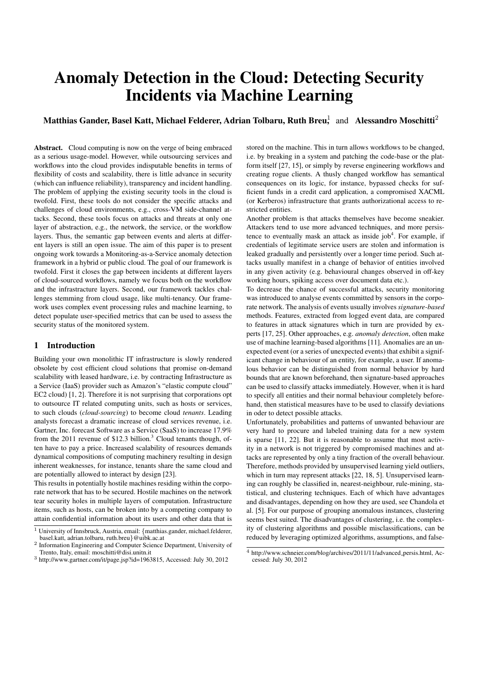# Anomaly Detection in the Cloud: Detecting Security Incidents via Machine Learning

## Matthias Gander, Basel Katt, Michael Felderer, Adrian Tolbaru, Ruth Breu; and Alessandro Moschitti $^2$

Abstract. Cloud computing is now on the verge of being embraced as a serious usage-model. However, while outsourcing services and workflows into the cloud provides indisputable benefits in terms of flexibility of costs and scalability, there is little advance in security (which can influence reliability), transparency and incident handling. The problem of applying the existing security tools in the cloud is twofold. First, these tools do not consider the specific attacks and challenges of cloud environments, e.g., cross-VM side-channel attacks. Second, these tools focus on attacks and threats at only one layer of abstraction, e.g., the network, the service, or the workflow layers. Thus, the semantic gap between events and alerts at different layers is still an open issue. The aim of this paper is to present ongoing work towards a Monitoring-as-a-Service anomaly detection framework in a hybrid or public cloud. The goal of our framework is twofold. First it closes the gap between incidents at different layers of cloud-sourced workflows, namely we focus both on the workflow and the infrastracture layers. Second, our framework tackles challenges stemming from cloud usage, like multi-tenancy. Our framework uses complex event processing rules and machine learning, to detect populate user-specified metrics that can be used to assess the security status of the monitored system.

## 1 Introduction

Building your own monolithic IT infrastructure is slowly rendered obsolete by cost efficient cloud solutions that promise on-demand scalability with leased hardware, i.e. by contracting Infrastructure as a Service (IaaS) provider such as Amazon's "elastic compute cloud" EC2 cloud) [1, 2]. Therefore it is not surprising that corporations opt to outsource IT related computing units, such as hosts or services, to such clouds (*cloud-sourcing*) to become cloud *tenants*. Leading analysts forecast a dramatic increase of cloud services revenue, i.e. Gartner, Inc. forecast Software as a Service (SaaS) to increase 17.9% from the 2011 revenue of  $$12.3$  billion.<sup>3</sup> Cloud tenants though, often have to pay a price. Increased scalability of resources demands dynamical compositions of computing machinery resulting in design inherent weaknesses, for instance, tenants share the same cloud and are potentially allowed to interact by design [23].

This results in potentially hostile machines residing within the corporate network that has to be secured. Hostile machines on the network tear security holes in multiple layers of computation. Infrastructure items, such as hosts, can be broken into by a competing company to attain confidential information about its users and other data that is stored on the machine. This in turn allows workflows to be changed, i.e. by breaking in a system and patching the code-base or the platform itself [27, 15], or simply by reverse engineering workflows and creating rogue clients. A thusly changed workflow has semantical consequences on its logic, for instance, bypassed checks for sufficient funds in a credit card application, a compromised XACML (or Kerberos) infrastructure that grants authorizational access to restricted entities.

Another problem is that attacks themselves have become sneakier. Attackers tend to use more advanced techniques, and more persistence to eventually mask an attack as inside  $job<sup>4</sup>$ . For example, if credentials of legitimate service users are stolen and information is leaked gradually and persistently over a longer time period. Such attacks usually manifest in a change of behavior of entities involved in any given activity (e.g. behavioural changes observed in off-key working hours, spiking access over document data etc.).

To decrease the chance of successful attacks, security monitoring was introduced to analyse events committed by sensors in the corporate network. The analysis of events usually involves *signature-based* methods. Features, extracted from logged event data, are compared to features in attack signatures which in turn are provided by experts [17, 25]. Other approaches, e.g. *anomaly detection*, often make use of machine learning-based algorithms [11]. Anomalies are an unexpected event (or a series of unexpected events) that exhibit a significant change in behaviour of an entity, for example, a user. If anomalous behavior can be distinguished from normal behavior by hard bounds that are known beforehand, then signature-based approaches can be used to classify attacks immediately. However, when it is hard to specify all entities and their normal behaviour completely beforehand, then statistical measures have to be used to classify deviations in oder to detect possible attacks.

Unfortunately, probabilities and patterns of unwanted behaviour are very hard to procure and labeled training data for a new system is sparse [11, 22]. But it is reasonable to assume that most activity in a network is not triggered by compromised machines and attacks are represented by only a tiny fraction of the overall behaviour. Therefore, methods provided by unsupervised learning yield outliers, which in turn may represent attacks [22, 18, 5]. Unsupervised learning can roughly be classified in, nearest-neighbour, rule-mining, statistical, and clustering techniques. Each of which have advantages and disadvantages, depending on how they are used, see Chandola et al. [5]. For our purpose of grouping anomalous instances, clustering seems best suited. The disadvantages of clustering, i.e. the complexity of clustering algorithms and possible misclassifications, can be reduced by leveraging optimized algorithms, assumptions, and false-

 $\frac{1}{1}$  University of Innsbruck, Austria, email: {matthias.gander, michael.felderer, basel.katt, adrian.tolbaru, ruth.breu}@uibk.ac.at

<sup>2</sup> Information Engineering and Computer Science Department, University of Trento, Italy, email: moschitti@disi.unitn.it

<sup>3</sup> http://www.gartner.com/it/page.jsp?id=1963815, Accessed: July 30, 2012

<sup>4</sup> http://www.schneier.com/blog/archives/2011/11/advanced persis.html, Accessed: July 30, 2012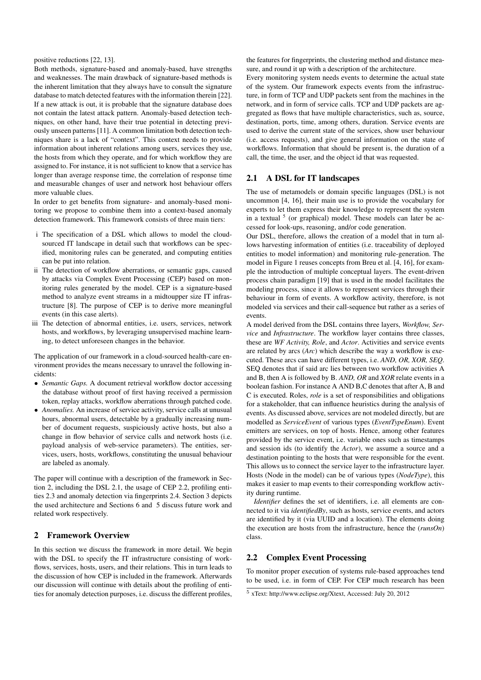positive reductions [22, 13].

Both methods, signature-based and anomaly-based, have strengths and weaknesses. The main drawback of signature-based methods is the inherent limitation that they always have to consult the signature database to match detected features with the information therein [22]. If a new attack is out, it is probable that the signature database does not contain the latest attack pattern. Anomaly-based detection techniques, on other hand, have their true potential in detecting previously unseen patterns [11]. A common limitation both detection techniques share is a lack of "context". This context needs to provide information about inherent relations among users, services they use, the hosts from which they operate, and for which workflow they are assigned to. For instance, it is not sufficient to know that a service has longer than average response time, the correlation of response time and measurable changes of user and network host behaviour offers more valuable clues.

In order to get benefits from signature- and anomaly-based monitoring we propose to combine them into a context-based anomaly detection framework. This framework consists of three main tiers:

- i The specification of a DSL which allows to model the cloudsourced IT landscape in detail such that workflows can be specified, monitoring rules can be generated, and computing entities can be put into relation.
- ii The detection of workflow aberrations, or semantic gaps, caused by attacks via Complex Event Processing (CEP) based on monitoring rules generated by the model. CEP is a signature-based method to analyze event streams in a midtoupper size IT infrastructure [8]. The purpose of CEP is to derive more meaningful events (in this case alerts).
- iii The detection of abnormal entities, i.e. users, services, network hosts, and workflows, by leveraging unsupervised machine learning, to detect unforeseen changes in the behavior.

The application of our framework in a cloud-sourced health-care environment provides the means necessary to unravel the following incidents:

- *Semantic Gaps.* A document retrieval workflow doctor accessing the database without proof of first having received a permission token, replay attacks, workflow aberrations through patched code.
- *Anomalies.* An increase of service activity, service calls at unusual hours, abnormal users, detectable by a gradually increasing number of document requests, suspiciously active hosts, but also a change in flow behavior of service calls and network hosts (i.e. payload analysis of web-service parameters). The entities, services, users, hosts, workflows, constituting the unusual behaviour are labeled as anomaly.

The paper will continue with a description of the framework in Section 2, including the DSL 2.1, the usage of CEP 2.2, profiling entities 2.3 and anomaly detection via fingerprints 2.4. Section 3 depicts the used architecture and Sections 6 and 5 discuss future work and related work respectively.

## 2 Framework Overview

In this section we discuss the framework in more detail. We begin with the DSL to specify the IT infrastructure consisting of workflows, services, hosts, users, and their relations. This in turn leads to the discussion of how CEP is included in the framework. Afterwards our discussion will continue with details about the profiling of entities for anomaly detection purposes, i.e. discuss the different profiles,

the features for fingerprints, the clustering method and distance measure, and round it up with a description of the architecture.

Every monitoring system needs events to determine the actual state of the system. Our framework expects events from the infrastructure, in form of TCP and UDP packets sent from the machines in the network, and in form of service calls. TCP and UDP packets are aggregated as flows that have multiple characteristics, such as, source, destination, ports, time, among others, duration. Service events are used to derive the current state of the services, show user behaviour (i.e. access requests), and give general information on the state of workflows. Information that should be present is, the duration of a call, the time, the user, and the object id that was requested.

## 2.1 A DSL for IT landscapes

The use of metamodels or domain specific languages (DSL) is not uncommon [4, 16], their main use is to provide the vocabulary for experts to let them express their knowledge to represent the system in a textual  $5$  (or graphical) model. These models can later be accessed for look-ups, reasoning, and/or code generation.

Our DSL, therefore, allows the creation of a model that in turn allows harvesting information of entities (i.e. traceability of deployed entities to model information) and monitoring rule-generation. The model in Figure 1 reuses concepts from Breu et al. [4, 16], for example the introduction of multiple conceptual layers. The event-driven process chain paradigm [19] that is used in the model facilitates the modeling process, since it allows to represent services through their behaviour in form of events. A workflow activity, therefore, is not modeled via services and their call-sequence but rather as a series of events.

A model derived from the DSL contains three layers, *Workflow, Service* and *Infrastructure*. The workflow layer contains three classes, these are *WF Activity, Role*, and *Actor*. Activities and service events are related by arcs (*Arc*) which describe the way a workflow is executed. These arcs can have different types, i.e. *AND, OR, XOR, SEQ*. SEQ denotes that if said arc lies between two workflow activities A and B, then A is followed by B. *AND, OR* and *XOR* relate events in a boolean fashion. For instance A AND B,C denotes that after A, B and C is executed. Roles, *role* is a set of responsibilities and obligations for a stakeholder, that can influence heuristics during the analysis of events. As discussed above, services are not modeled directly, but are modelled as *ServiceEvent* of various types (*EventTypeEnum*). Event emitters are services, on top of hosts. Hence, among other features provided by the service event, i.e. variable ones such as timestamps and session ids (to identify the *Actor*), we assume a source and a destination pointing to the hosts that were responsible for the event. This allows us to connect the service layer to the infrastructure layer. Hosts (Node in the model) can be of various types (*NodeType*), this makes it easier to map events to their corresponding workflow activity during runtime.

*Identifier* defines the set of identifiers, i.e. all elements are connected to it via *identifiedBy*, such as hosts, service events, and actors are identified by it (via UUID and a location). The elements doing the execution are hosts from the infrastructure, hence the (*runsOn*) class.

## 2.2 Complex Event Processing

To monitor proper execution of systems rule-based approaches tend to be used, i.e. in form of CEP. For CEP much research has been

<sup>5</sup> xText: http://www.eclipse.org/Xtext, Accessed: July 20, 2012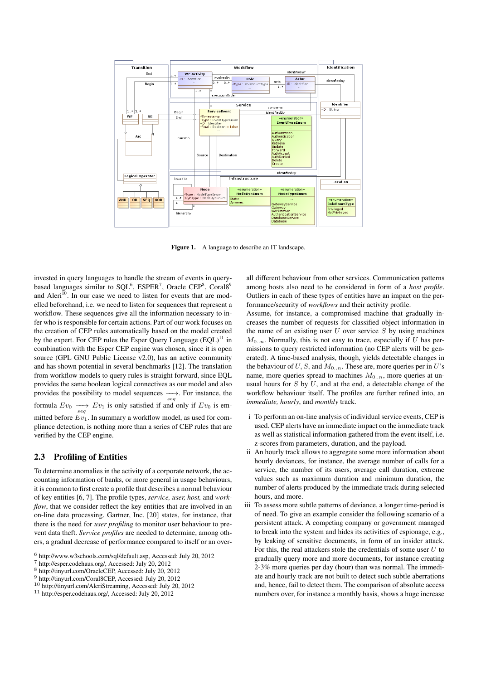

Figure 1. A language to describe an IT landscape.

invested in query languages to handle the stream of events in querybased languages similar to  $SQL^6$ ,  $ESPER^7$ , Oracle  $CEP^8$ , Coral $8^9$ and Aleri<sup>10</sup>. In our case we need to listen for events that are modelled beforehand, i.e. we need to listen for sequences that represent a workflow. These sequences give all the information necessary to infer who is responsible for certain actions. Part of our work focuses on the creation of CEP rules automatically based on the model created by the expert. For CEP rules the Esper Query Language  $(EOL)^{11}$  in combination with the Esper CEP engine was chosen, since it is open source (GPL GNU Public License v2.0), has an active community and has shown potential in several benchmarks [12]. The translation from workflow models to query rules is straight forward, since EQL provides the same boolean logical connectives as our model and also provides the possibility to model sequences  $\longrightarrow$ . For instance, the formula  $Ev_0 \longrightarrow Ev_1$  is only satisfied if and only if  $Ev_0$  is emmitted before  $Ev_1$ . In summary a workflow model, as used for compliance detection, is nothing more than a series of CEP rules that are verified by the CEP engine.

## 2.3 Profiling of Entities

To determine anomalies in the activity of a corporate network, the accounting information of banks, or more general in usage behaviours, it is common to first create a profile that describes a normal behaviour of key entities [6, 7]. The profile types, *service, user, host,* and *workflow*, that we consider reflect the key entities that are involved in an on-line data processing. Gartner, Inc. [20] states, for instance, that there is the need for *user profiling* to monitor user behaviour to prevent data theft. *Service profiles* are needed to determine, among others, a gradual decrease of performance compared to itself or an overall different behaviour from other services. Communication patterns among hosts also need to be considered in form of a *host profile*. Outliers in each of these types of entities have an impact on the performance/security of *workflows* and their activity profile.

Assume, for instance, a compromised machine that gradually increases the number of requests for classified object information in the name of an existing user  $U$  over service  $S$  by using machines  $M_{0..n}$ . Normally, this is not easy to trace, especially if U has permissions to query restricted information (no CEP alerts will be generated). A time-based analysis, though, yields detectable changes in the behaviour of  $U, S$ , and  $M_{0..n}$ . These are, more queries per in U's name, more queries spread to machines  $M_{0..n}$ , more queries at unusual hours for  $S$  by  $U$ , and at the end, a detectable change of the workflow behaviour itself. The profiles are further refined into, an *immediate, hourly*, and *monthly* track.

- i To perform an on-line analysis of individual service events, CEP is used. CEP alerts have an immediate impact on the immediate track as well as statistical information gathered from the event itself, i.e. z-scores from parameters, duration, and the payload.
- ii An hourly track allows to aggregate some more information about hourly deviances, for instance, the average number of calls for a service, the number of its users, average call duration, extreme values such as maximum duration and minimum duration, the number of alerts produced by the immediate track during selected hours, and more.
- iii To assess more subtle patterns of deviance, a longer time-period is of need. To give an example consider the following scenario of a persistent attack. A competing company or government managed to break into the system and hides its activities of espionage, e.g., by leaking of sensitive documents, in form of an insider attack. For this, the real attackers stole the credentials of some user  $U$  to gradually query more and more documents, for instance creating 2-3% more queries per day (hour) than was normal. The immediate and hourly track are not built to detect such subtle aberrations and, hence, fail to detect them. The comparison of absolute access numbers over, for instance a monthly basis, shows a huge increase

<sup>6</sup> http://www.w3schools.com/sql/default.asp, Accessed: July 20, 2012

<sup>7</sup> http://esper.codehaus.org/, Accessed: July 20, 2012

<sup>8</sup> http://tinyurl.com/OracleCEP, Accessed: July 20, 2012

<sup>9</sup> http://tinyurl.com/Coral8CEP, Accessed: July 20, 2012

<sup>10</sup> http://tinyurl.com/AleriStreaming, Accessed: July 20, 2012

<sup>11</sup> http://esper.codehaus.org/, Accessed: July 20, 2012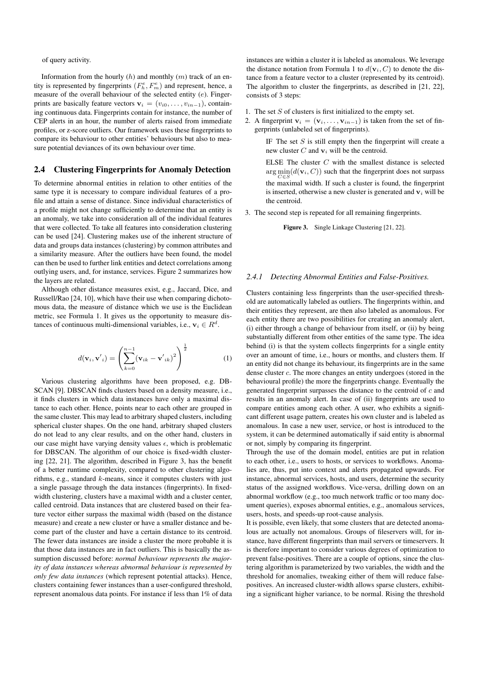of query activity.

Information from the hourly  $(h)$  and monthly  $(m)$  track of an entity is represented by fingerprints  $(F_h^e, F_m^e)$  and represent, hence, a measure of the overall behaviour of the selected entity (e). Fingerprints are basically feature vectors  $v_i = (v_{i0}, \ldots, v_{in-1})$ , containing continuous data. Fingerprints contain for instance, the number of CEP alerts in an hour, the number of alerts raised from immediate profiles, or z-score outliers. Our framework uses these fingerprints to compare its behaviour to other entities' behaviours but also to measure potential deviances of its own behaviour over time.

#### 2.4 Clustering Fingerprints for Anomaly Detection

To determine abnormal entities in relation to other entities of the same type it is necessary to compare individual features of a profile and attain a sense of distance. Since individual characteristics of a profile might not change sufficiently to determine that an entity is an anomaly, we take into consideration all of the individual features that were collected. To take all features into consideration clustering can be used [24]. Clustering makes use of the inherent structure of data and groups data instances (clustering) by common attributes and a similarity measure. After the outliers have been found, the model can then be used to further link entities and detect correlations among outlying users, and, for instance, services. Figure 2 summarizes how the layers are related.

Although other distance measures exist, e.g., Jaccard, Dice, and Russell/Rao [24, 10], which have their use when comparing dichotomous data, the measure of distance which we use is the Euclidean metric, see Formula 1. It gives us the opportunity to measure distances of continuous multi-dimensional variables, i.e.,  $v_i \in R^d$ .

$$
d(\mathbf{v}_i, \mathbf{v'}_i) = \left(\sum_{k=0}^{n-1} (\mathbf{v}_{ik} - \mathbf{v'}_{ik})^2\right)^{\frac{1}{2}}
$$
(1)

Various clustering algorithms have been proposed, e.g. DB-SCAN [9]. DBSCAN finds clusters based on a density measure, i.e., it finds clusters in which data instances have only a maximal distance to each other. Hence, points near to each other are grouped in the same cluster. This may lead to arbitrary shaped clusters, including spherical cluster shapes. On the one hand, arbitrary shaped clusters do not lead to any clear results, and on the other hand, clusters in our case might have varying density values  $\epsilon$ , which is problematic for DBSCAN. The algorithm of our choice is fixed-width clustering [22, 21]. The algorithm, described in Figure 3, has the benefit of a better runtime complexity, compared to other clustering algorithms, e.g., standard  $k$ -means, since it computes clusters with just a single passage through the data instances (fingerprints). In fixedwidth clustering, clusters have a maximal width and a cluster center, called centroid. Data instances that are clustered based on their feature vector either surpass the maximal width (based on the distance measure) and create a new cluster or have a smaller distance and become part of the cluster and have a certain distance to its centroid. The fewer data instances are inside a cluster the more probable it is that those data instances are in fact outliers. This is basically the assumption discussed before: *normal behaviour represents the majority of data instances whereas abnormal behaviour is represented by only few data instances* (which represent potential attacks). Hence, clusters containing fewer instances than a user-configured threshold, represent anomalous data points. For instance if less than 1% of data instances are within a cluster it is labeled as anomalous. We leverage the distance notation from Formula 1 to  $d(\mathbf{v}_i, C)$  to denote the distance from a feature vector to a cluster (represented by its centroid). The algorithm to cluster the fingerprints, as described in [21, 22], consists of 3 steps:

- 1. The set  $S$  of clusters is first initialized to the empty set.
- 2. A fingerprint  $v_i = (v_i, \ldots, v_{in-1})$  is taken from the set of fingerprints (unlabeled set of fingerprints).

IF The set  $S$  is still empty then the fingerprint will create a new cluster  $C$  and  $v_i$  will be the centroid.

ELSE The cluster  $C$  with the smallest distance is selected  $\arg \min(d(\mathbf{v}_i, C))$  such that the fingerprint does not surpass  $C \in S$ <br>the maximal width. If such a cluster is found, the fingerprint is inserted, otherwise a new cluster is generated and  $v_i$  will be the centroid.

3. The second step is repeated for all remaining fingerprints.

Figure 3. Single Linkage Clustering [21, 22].

#### *2.4.1 Detecting Abnormal Entities and False-Positives.*

Clusters containing less fingerprints than the user-specified threshold are automatically labeled as outliers. The fingerprints within, and their entities they represent, are then also labeled as anomalous. For each entity there are two possibilities for creating an anomaly alert, (i) either through a change of behaviour from itself, or (ii) by being substantially different from other entities of the same type. The idea behind (i) is that the system collects fingerprints for a single entity over an amount of time, i.e., hours or months, and clusters them. If an entity did not change its behaviour, its fingerprints are in the same dense cluster c. The more changes an entity undergoes (stored in the behavioural profile) the more the fingerprints change. Eventually the generated fingerprint surpasses the distance to the centroid of c and results in an anomaly alert. In case of (ii) fingerprints are used to compare entities among each other. A user, who exhibits a significant different usage pattern, creates his own cluster and is labeled as anomalous. In case a new user, service, or host is introduced to the system, it can be determined automatically if said entity is abnormal or not, simply by comparing its fingerprint.

Through the use of the domain model, entities are put in relation to each other, i.e., users to hosts, or services to workflows. Anomalies are, thus, put into context and alerts propagated upwards. For instance, abnormal services, hosts, and users, determine the security status of the assigned workflows. Vice-versa, drilling down on an abnormal workflow (e.g., too much network traffic or too many document queries), exposes abnormal entities, e.g., anomalous services, users, hosts, and speeds-up root-cause analysis.

It is possible, even likely, that some clusters that are detected anomalous are actually not anomalous. Groups of fileservers will, for instance, have different fingerprints than mail servers or timeservers. It is therefore important to consider various degrees of optimization to prevent false-positives. There are a couple of options, since the clustering algorithm is parameterized by two variables, the width and the threshold for anomalies, tweaking either of them will reduce falsepositives. An increased cluster-width allows sparse clusters, exhibiting a significant higher variance, to be normal. Rising the threshold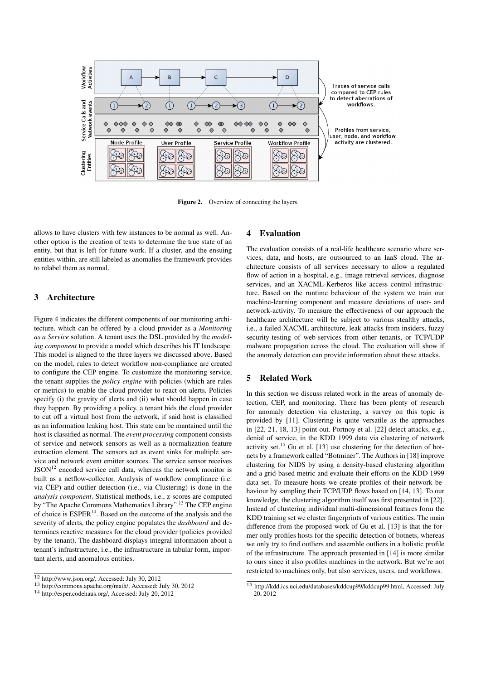

Figure 2. Overview of connecting the layers.

allows to have clusters with few instances to be normal as well. Another option is the creation of tests to determine the true state of an entity, but that is left for future work. If a cluster, and the ensuing entities within, are still labeled as anomalies the framework provides to relabel them as normal.

## 3 Architecture

Figure 4 indicates the different components of our monitoring architecture, which can be offered by a cloud provider as a *Monitoring as a Service* solution. A tenant uses the DSL provided by the *modeling component* to provide a model which describes his IT landscape. This model is aligned to the three layers we discussed above. Based on the model, rules to detect workflow non-compliance are created to configure the CEP engine. To customize the monitoring service, the tenant supplies the *policy engine* with policies (which are rules or metrics) to enable the cloud provider to react on alerts. Policies specify (i) the gravity of alerts and (ii) what should happen in case they happen. By providing a policy, a tenant bids the cloud provider to cut off a virtual host from the network, if said host is classified as an information leaking host. This state can be mantained until the host is classified as normal. The *event processing* component consists of service and network sensors as well as a normalization feature extraction element. The sensors act as event sinks for multiple service and network event emitter sources. The service sensor receives  $JSON<sup>12</sup>$  encoded service call data, whereas the network monitor is built as a netflow-collector. Analysis of workflow compliance (i.e. via CEP) and outlier detection (i.e., via Clustering) is done in the *analysis component*. Statistical methods, i.e., z-scores are computed by "The Apache Commons Mathematics Library".<sup>13</sup> The CEP engine of choice is  $ESPER<sup>14</sup>$ . Based on the outcome of the analysis and the severity of alerts, the policy engine populates the *dashboard* and determines reactive measures for the cloud provider (policies provided by the tenant). The dashboard displays integral information about a tenant's infrastructure, i.e., the infrastructure in tabular form, important alerts, and anomalous entities.

#### 4 Evaluation

The evaluation consists of a real-life healthcare scenario where services, data, and hosts, are outsourced to an IaaS cloud. The architecture consists of all services necessary to allow a regulated flow of action in a hospital, e.g., image retrieval services, diagnose services, and an XACML-Kerberos like access control infrastructure. Based on the runtime behaviour of the system we train our machine-learning component and measure deviations of user- and network-activity. To measure the effectiveness of our approach the healthcare architecture will be subject to various stealthy attacks, i.e., a failed XACML architecture, leak attacks from insiders, fuzzy security-testing of web-services from other tenants, or TCP/UDP malware propagation across the cloud. The evaluation will show if the anomaly detection can provide information about these attacks.

## 5 Related Work

In this section we discuss related work in the areas of anomaly detection, CEP, and monitoring. There has been plenty of research for anomaly detection via clustering, a survey on this topic is provided by [11]. Clustering is quite versatile as the approaches in [22, 21, 18, 13] point out. Portnoy et al. [22] detect attacks, e.g., denial of service, in the KDD 1999 data via clustering of network activity set.<sup>15</sup> Gu et al. [13] use clustering for the detection of botnets by a framework called "Botminer". The Authors in [18] improve clustering for NIDS by using a density-based clustering algorithm and a grid-based metric and evaluate their efforts on the KDD 1999 data set. To measure hosts we create profiles of their network behaviour by sampling their TCP/UDP flows based on [14, 13]. To our knowledge, the clustering algorithm itself was first presented in [22]. Instead of clustering individual multi-dimensional features form the KDD training set we cluster fingerprints of various entities. The main difference from the proposed work of Gu et al. [13] is that the former only profiles hosts for the specific detection of botnets, whereas we only try to find outliers and assemble outliers in a holistic profile of the infrastructure. The approach presented in [14] is more similar to ours since it also profiles machines in the network. But we're not restricted to machines only, but also services, users, and workflows.

<sup>12</sup> http://www.json.org/, Accessed: July 30, 2012

<sup>13</sup> http://commons.apache.org/math/, Accessed: July 30, 2012

<sup>14</sup> http://esper.codehaus.org/, Accessed: July 20, 2012

<sup>15</sup> http://kdd.ics.uci.edu/databases/kddcup99/kddcup99.html, Accessed: July 20, 2012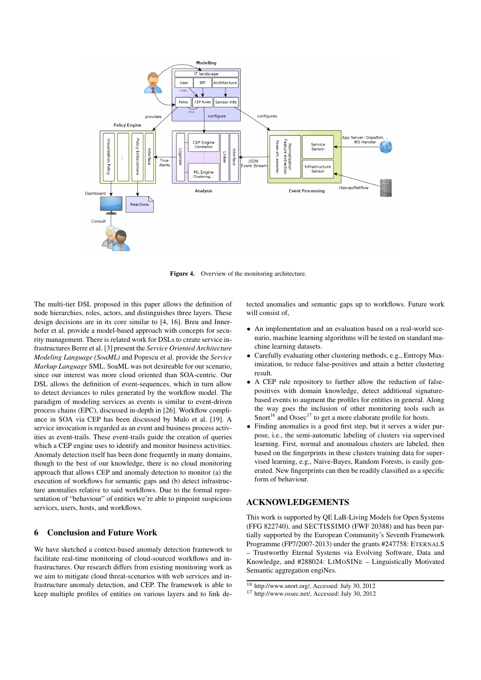

Figure 4. Overview of the monitoring architecture.

The multi-tier DSL proposed in this paper allows the definition of node hierarchies, roles, actors, and distinguishes three layers. These design decisions are in its core similar to [4, 16]. Breu and Innerhofer et al. provide a model-based approach with concepts for security management. There is related work for DSLs to create service infrastructures Berre et al. [3] present the *Service Oriented Architecture Modeling Language (SoaML)* and Popescu et al. provide the *Service Markup Language* SML. SoaML was not desireable for our scenario, since our interest was more cloud oriented than SOA-centric. Our DSL allows the definition of event-sequences, which in turn allow to detect deviances to rules generated by the workflow model. The paradigm of modeling services as events is similar to event-driven process chains (EPC), discussed in-depth in [26]. Workflow compliance in SOA via CEP has been discussed by Mulo et al. [19]. A service invocation is regarded as an event and business process activities as event-trails. These event-trails guide the creation of queries which a CEP engine uses to identify and monitor business activities. Anomaly detection itself has been done frequently in many domains, though to the best of our knowledge, there is no cloud monitoring approach that allows CEP and anomaly detection to monitor (a) the execution of workflows for semantic gaps and (b) detect infrastructure anomalies relative to said workflows. Due to the formal representation of "behaviour" of entities we're able to pinpoint suspicious services, users, hosts, and workflows.

## 6 Conclusion and Future Work

We have sketched a context-based anomaly detection framework to facilitate real-time monitoring of cloud-sourced workflows and infrastructures. Our research differs from existing monitoring work as we aim to mitigate cloud threat-scenarios with web services and infrastructure anomaly detection, and CEP. The framework is able to keep multiple profiles of entities on various layers and to link detected anomalies and semantic gaps up to workflows. Future work will consist of,

- An implementation and an evaluation based on a real-world scenario, machine learning algorithms will be tested on standard machine learning datasets.
- Carefully evaluating other clustering methods, e.g., Entropy Maximization, to reduce false-positives and attain a better clustering result.
- A CEP rule repository to further allow the reduction of falsepositives with domain knowledge, detect additional signaturebased events to augment the profiles for entities in general. Along the way goes the inclusion of other monitoring tools such as Snort<sup>16</sup> and Ossec<sup>17</sup> to get a more elaborate profile for hosts.
- Finding anomalies is a good first step, but it serves a wider purpose, i.e., the semi-automatic labeling of clusters via supervised learning. First, normal and anomalous clusters are labeled, then based on the fingerprints in these clusters training data for supervised learning, e.g., Naive-Bayes, Random Forests, is easily generated. New fingerprints can then be readily classified as a specific form of behaviour.

## ACKNOWLEDGEMENTS

This work is supported by QE LaB-Living Models for Open Systems (FFG 822740), and SECTISSIMO (FWF 20388) and has been partially supported by the European Community's Seventh Framework Programme (FP7/2007-2013) under the grants #247758: ETERNALS – Trustworthy Eternal Systems via Evolving Software, Data and Knowledge, and #288024: LIMOSINE – Linguistically Motivated Semantic aggregation engiNes.

<sup>16</sup> http://www.snort.org/, Accessed: July 30, 2012

<sup>17</sup> http://www.ossec.net/, Accessed: July 30, 2012